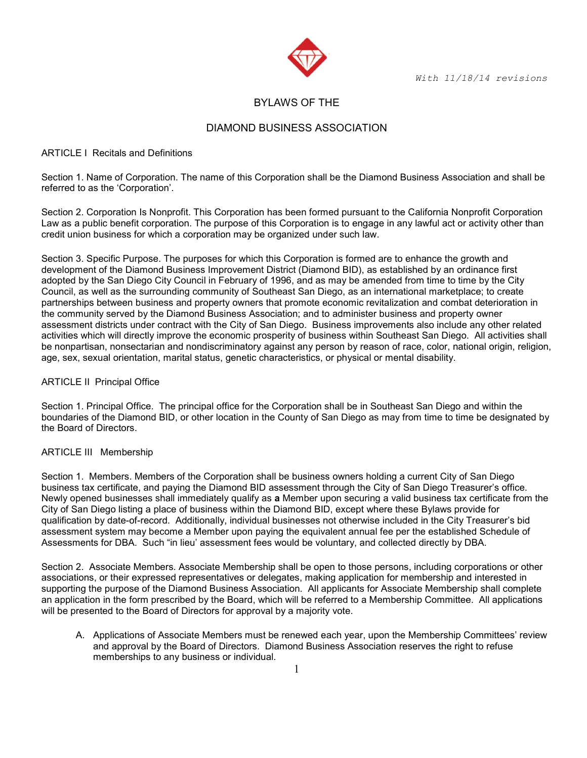With 11/18/14 revisions



# BYLAWS OF THE

# DIAMOND BUSINESS ASSOCIATION

### ARTICLE I Recitals and Definitions

Section 1. Name of Corporation. The name of this Corporation shall be the Diamond Business Association and shall be referred to as the 'Corporation'.

Section 2. Corporation Is Nonprofit. This Corporation has been formed pursuant to the California Nonprofit Corporation Law as a public benefit corporation. The purpose of this Corporation is to engage in any lawful act or activity other than credit union business for which a corporation may be organized under such law.

Section 3. Specific Purpose. The purposes for which this Corporation is formed are to enhance the growth and development of the Diamond Business Improvement District (Diamond BID), as established by an ordinance first adopted by the San Diego City Council in February of 1996, and as may be amended from time to time by the City Council, as well as the surrounding community of Southeast San Diego, as an international marketplace; to create partnerships between business and property owners that promote economic revitalization and combat deterioration in the community served by the Diamond Business Association; and to administer business and property owner assessment districts under contract with the City of San Diego. Business improvements also include any other related activities which will directly improve the economic prosperity of business within Southeast San Diego. All activities shall be nonpartisan, nonsectarian and nondiscriminatory against any person by reason of race, color, national origin, religion, age, sex, sexual orientation, marital status, genetic characteristics, or physical or mental disability.

### ARTICLE II Principal Office

Section 1. Principal Office. The principal office for the Corporation shall be in Southeast San Diego and within the boundaries of the Diamond BID, or other location in the County of San Diego as may from time to time be designated by the Board of Directors.

## ARTICLE III Membership

Section 1. Members. Members of the Corporation shall be business owners holding a current City of San Diego business tax certificate, and paying the Diamond BID assessment through the City of San Diego Treasurer's office. Newly opened businesses shall immediately qualify as a Member upon securing a valid business tax certificate from the City of San Diego listing a place of business within the Diamond BID, except where these Bylaws provide for qualification by date-of-record. Additionally, individual businesses not otherwise included in the City Treasurer's bid assessment system may become a Member upon paying the equivalent annual fee per the established Schedule of Assessments for DBA. Such "in lieu' assessment fees would be voluntary, and collected directly by DBA.

Section 2. Associate Members. Associate Membership shall be open to those persons, including corporations or other associations, or their expressed representatives or delegates, making application for membership and interested in supporting the purpose of the Diamond Business Association. All applicants for Associate Membership shall complete an application in the form prescribed by the Board, which will be referred to a Membership Committee. All applications will be presented to the Board of Directors for approval by a majority vote.

A. Applications of Associate Members must be renewed each year, upon the Membership Committees' review and approval by the Board of Directors. Diamond Business Association reserves the right to refuse memberships to any business or individual.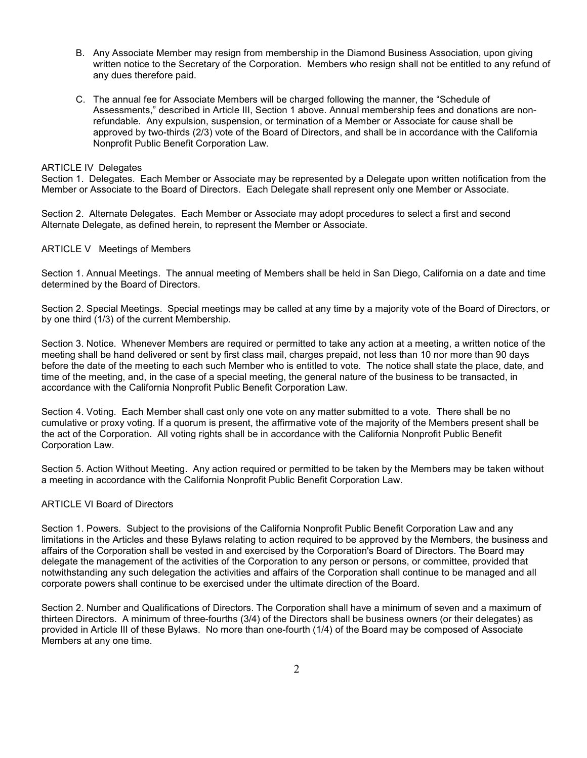- B. Any Associate Member may resign from membership in the Diamond Business Association, upon giving written notice to the Secretary of the Corporation. Members who resign shall not be entitled to any refund of any dues therefore paid.
- C. The annual fee for Associate Members will be charged following the manner, the "Schedule of Assessments," described in Article III, Section 1 above. Annual membership fees and donations are nonrefundable. Any expulsion, suspension, or termination of a Member or Associate for cause shall be approved by two-thirds (2/3) vote of the Board of Directors, and shall be in accordance with the California Nonprofit Public Benefit Corporation Law.

## ARTICLE IV Delegates

Section 1. Delegates. Each Member or Associate may be represented by a Delegate upon written notification from the Member or Associate to the Board of Directors. Each Delegate shall represent only one Member or Associate.

Section 2. Alternate Delegates. Each Member or Associate may adopt procedures to select a first and second Alternate Delegate, as defined herein, to represent the Member or Associate.

### ARTICLE V Meetings of Members

Section 1. Annual Meetings. The annual meeting of Members shall be held in San Diego, California on a date and time determined by the Board of Directors.

Section 2. Special Meetings. Special meetings may be called at any time by a majority vote of the Board of Directors, or by one third (1/3) of the current Membership.

Section 3. Notice. Whenever Members are required or permitted to take any action at a meeting, a written notice of the meeting shall be hand delivered or sent by first class mail, charges prepaid, not less than 10 nor more than 90 days before the date of the meeting to each such Member who is entitled to vote. The notice shall state the place, date, and time of the meeting, and, in the case of a special meeting, the general nature of the business to be transacted, in accordance with the California Nonprofit Public Benefit Corporation Law.

Section 4. Voting. Each Member shall cast only one vote on any matter submitted to a vote. There shall be no cumulative or proxy voting. If a quorum is present, the affirmative vote of the majority of the Members present shall be the act of the Corporation. All voting rights shall be in accordance with the California Nonprofit Public Benefit Corporation Law.

Section 5. Action Without Meeting. Any action required or permitted to be taken by the Members may be taken without a meeting in accordance with the California Nonprofit Public Benefit Corporation Law.

#### ARTICLE VI Board of Directors

Section 1. Powers. Subject to the provisions of the California Nonprofit Public Benefit Corporation Law and any limitations in the Articles and these Bylaws relating to action required to be approved by the Members, the business and affairs of the Corporation shall be vested in and exercised by the Corporation's Board of Directors. The Board may delegate the management of the activities of the Corporation to any person or persons, or committee, provided that notwithstanding any such delegation the activities and affairs of the Corporation shall continue to be managed and all corporate powers shall continue to be exercised under the ultimate direction of the Board.

Section 2. Number and Qualifications of Directors. The Corporation shall have a minimum of seven and a maximum of thirteen Directors. A minimum of three-fourths (3/4) of the Directors shall be business owners (or their delegates) as provided in Article III of these Bylaws. No more than one-fourth (1/4) of the Board may be composed of Associate Members at any one time.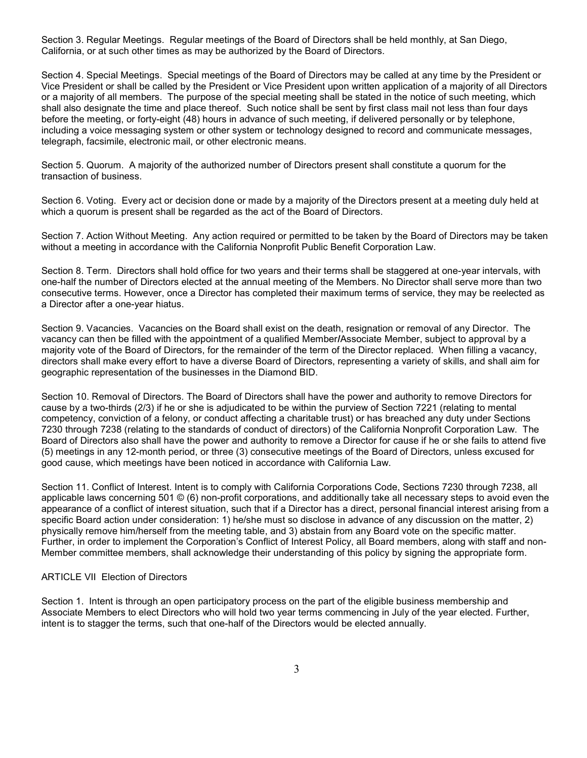Section 3. Regular Meetings. Regular meetings of the Board of Directors shall be held monthly, at San Diego, California, or at such other times as may be authorized by the Board of Directors.

Section 4. Special Meetings. Special meetings of the Board of Directors may be called at any time by the President or Vice President or shall be called by the President or Vice President upon written application of a majority of all Directors or a majority of all members. The purpose of the special meeting shall be stated in the notice of such meeting, which shall also designate the time and place thereof. Such notice shall be sent by first class mail not less than four days before the meeting, or forty-eight (48) hours in advance of such meeting, if delivered personally or by telephone, including a voice messaging system or other system or technology designed to record and communicate messages, telegraph, facsimile, electronic mail, or other electronic means.

Section 5. Quorum. A majority of the authorized number of Directors present shall constitute a quorum for the transaction of business.

Section 6. Voting. Every act or decision done or made by a majority of the Directors present at a meeting duly held at which a quorum is present shall be regarded as the act of the Board of Directors.

Section 7. Action Without Meeting. Any action required or permitted to be taken by the Board of Directors may be taken without a meeting in accordance with the California Nonprofit Public Benefit Corporation Law.

Section 8. Term. Directors shall hold office for two years and their terms shall be staggered at one-year intervals, with one-half the number of Directors elected at the annual meeting of the Members. No Director shall serve more than two consecutive terms. However, once a Director has completed their maximum terms of service, they may be reelected as a Director after a one-year hiatus.

Section 9. Vacancies. Vacancies on the Board shall exist on the death, resignation or removal of any Director. The vacancy can then be filled with the appointment of a qualified Member/Associate Member, subject to approval by a majority vote of the Board of Directors, for the remainder of the term of the Director replaced. When filling a vacancy, directors shall make every effort to have a diverse Board of Directors, representing a variety of skills, and shall aim for geographic representation of the businesses in the Diamond BID.

Section 10. Removal of Directors. The Board of Directors shall have the power and authority to remove Directors for cause by a two-thirds (2/3) if he or she is adjudicated to be within the purview of Section 7221 (relating to mental competency, conviction of a felony, or conduct affecting a charitable trust) or has breached any duty under Sections 7230 through 7238 (relating to the standards of conduct of directors) of the California Nonprofit Corporation Law. The Board of Directors also shall have the power and authority to remove a Director for cause if he or she fails to attend five (5) meetings in any 12-month period, or three (3) consecutive meetings of the Board of Directors, unless excused for good cause, which meetings have been noticed in accordance with California Law.

Section 11. Conflict of Interest. Intent is to comply with California Corporations Code, Sections 7230 through 7238, all applicable laws concerning 501 © (6) non-profit corporations, and additionally take all necessary steps to avoid even the appearance of a conflict of interest situation, such that if a Director has a direct, personal financial interest arising from a specific Board action under consideration: 1) he/she must so disclose in advance of any discussion on the matter, 2) physically remove him/herself from the meeting table, and 3) abstain from any Board vote on the specific matter. Further, in order to implement the Corporation's Conflict of Interest Policy, all Board members, along with staff and non-Member committee members, shall acknowledge their understanding of this policy by signing the appropriate form.

#### ARTICLE VII Election of Directors

Section 1. Intent is through an open participatory process on the part of the eligible business membership and Associate Members to elect Directors who will hold two year terms commencing in July of the year elected. Further, intent is to stagger the terms, such that one-half of the Directors would be elected annually.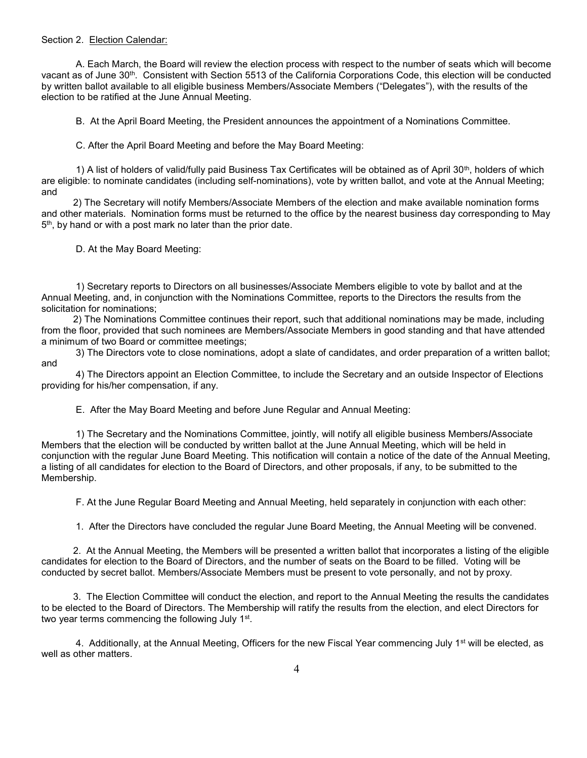#### Section 2. Election Calendar:

 A. Each March, the Board will review the election process with respect to the number of seats which will become vacant as of June 30th. Consistent with Section 5513 of the California Corporations Code, this election will be conducted by written ballot available to all eligible business Members/Associate Members ("Delegates"), with the results of the election to be ratified at the June Annual Meeting.

B. At the April Board Meeting, the President announces the appointment of a Nominations Committee.

C. After the April Board Meeting and before the May Board Meeting:

 1) A list of holders of valid/fully paid Business Tax Certificates will be obtained as of April 30th, holders of which are eligible: to nominate candidates (including self-nominations), vote by written ballot, and vote at the Annual Meeting; and

 2) The Secretary will notify Members/Associate Members of the election and make available nomination forms and other materials. Nomination forms must be returned to the office by the nearest business day corresponding to May 5<sup>th</sup>, by hand or with a post mark no later than the prior date.

D. At the May Board Meeting:

 1) Secretary reports to Directors on all businesses/Associate Members eligible to vote by ballot and at the Annual Meeting, and, in conjunction with the Nominations Committee, reports to the Directors the results from the solicitation for nominations;

 2) The Nominations Committee continues their report, such that additional nominations may be made, including from the floor, provided that such nominees are Members/Associate Members in good standing and that have attended a minimum of two Board or committee meetings;

 3) The Directors vote to close nominations, adopt a slate of candidates, and order preparation of a written ballot; and

 4) The Directors appoint an Election Committee, to include the Secretary and an outside Inspector of Elections providing for his/her compensation, if any.

E. After the May Board Meeting and before June Regular and Annual Meeting:

 1) The Secretary and the Nominations Committee, jointly, will notify all eligible business Members/Associate Members that the election will be conducted by written ballot at the June Annual Meeting, which will be held in conjunction with the regular June Board Meeting. This notification will contain a notice of the date of the Annual Meeting, a listing of all candidates for election to the Board of Directors, and other proposals, if any, to be submitted to the Membership.

F. At the June Regular Board Meeting and Annual Meeting, held separately in conjunction with each other:

1. After the Directors have concluded the regular June Board Meeting, the Annual Meeting will be convened.

 2. At the Annual Meeting, the Members will be presented a written ballot that incorporates a listing of the eligible candidates for election to the Board of Directors, and the number of seats on the Board to be filled. Voting will be conducted by secret ballot. Members/Associate Members must be present to vote personally, and not by proxy.

 3. The Election Committee will conduct the election, and report to the Annual Meeting the results the candidates to be elected to the Board of Directors. The Membership will ratify the results from the election, and elect Directors for two year terms commencing the following July 1<sup>st</sup>.

4. Additionally, at the Annual Meeting, Officers for the new Fiscal Year commencing July 1<sup>st</sup> will be elected, as well as other matters.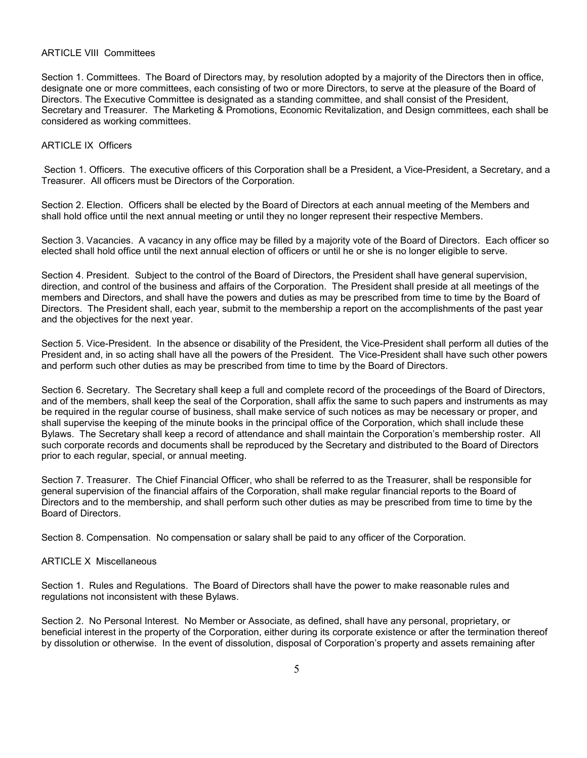#### ARTICLE VIII Committees

Section 1. Committees. The Board of Directors may, by resolution adopted by a majority of the Directors then in office, designate one or more committees, each consisting of two or more Directors, to serve at the pleasure of the Board of Directors. The Executive Committee is designated as a standing committee, and shall consist of the President, Secretary and Treasurer. The Marketing & Promotions, Economic Revitalization, and Design committees, each shall be considered as working committees.

### ARTICLE IX Officers

Section 1. Officers. The executive officers of this Corporation shall be a President, a Vice-President, a Secretary, and a Treasurer. All officers must be Directors of the Corporation.

Section 2. Election. Officers shall be elected by the Board of Directors at each annual meeting of the Members and shall hold office until the next annual meeting or until they no longer represent their respective Members.

Section 3. Vacancies. A vacancy in any office may be filled by a majority vote of the Board of Directors. Each officer so elected shall hold office until the next annual election of officers or until he or she is no longer eligible to serve.

Section 4. President. Subject to the control of the Board of Directors, the President shall have general supervision, direction, and control of the business and affairs of the Corporation. The President shall preside at all meetings of the members and Directors, and shall have the powers and duties as may be prescribed from time to time by the Board of Directors. The President shall, each year, submit to the membership a report on the accomplishments of the past year and the objectives for the next year.

Section 5. Vice-President. In the absence or disability of the President, the Vice-President shall perform all duties of the President and, in so acting shall have all the powers of the President. The Vice-President shall have such other powers and perform such other duties as may be prescribed from time to time by the Board of Directors.

Section 6. Secretary. The Secretary shall keep a full and complete record of the proceedings of the Board of Directors, and of the members, shall keep the seal of the Corporation, shall affix the same to such papers and instruments as may be required in the regular course of business, shall make service of such notices as may be necessary or proper, and shall supervise the keeping of the minute books in the principal office of the Corporation, which shall include these Bylaws. The Secretary shall keep a record of attendance and shall maintain the Corporation's membership roster. All such corporate records and documents shall be reproduced by the Secretary and distributed to the Board of Directors prior to each regular, special, or annual meeting.

Section 7. Treasurer. The Chief Financial Officer, who shall be referred to as the Treasurer, shall be responsible for general supervision of the financial affairs of the Corporation, shall make regular financial reports to the Board of Directors and to the membership, and shall perform such other duties as may be prescribed from time to time by the Board of Directors.

Section 8. Compensation. No compensation or salary shall be paid to any officer of the Corporation.

## ARTICLE X Miscellaneous

Section 1. Rules and Regulations. The Board of Directors shall have the power to make reasonable rules and regulations not inconsistent with these Bylaws.

Section 2. No Personal Interest. No Member or Associate, as defined, shall have any personal, proprietary, or beneficial interest in the property of the Corporation, either during its corporate existence or after the termination thereof by dissolution or otherwise. In the event of dissolution, disposal of Corporation's property and assets remaining after